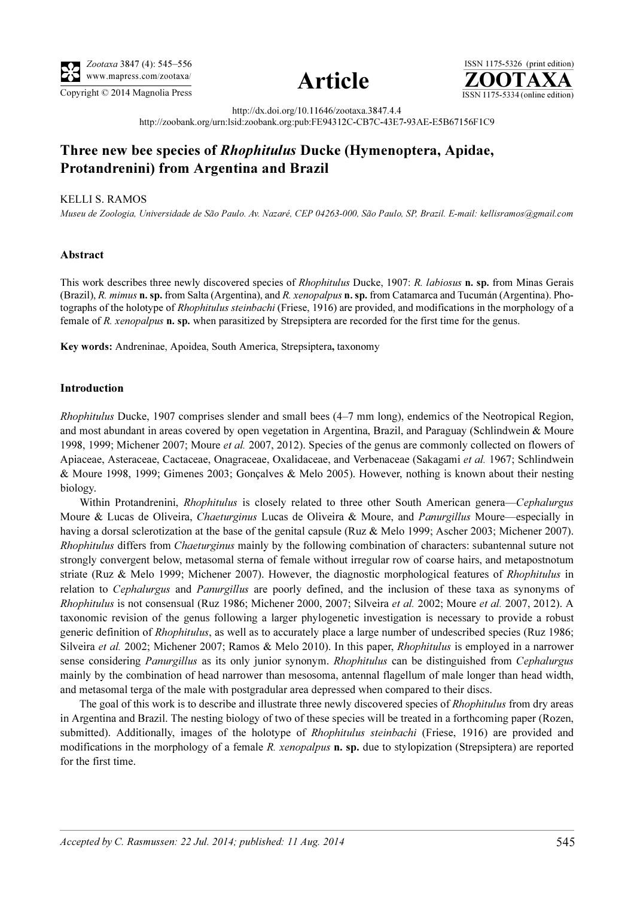





http://dx.doi.org/10.11646/zootaxa.3847.4.4

http://zoobank.org/urn:lsid:zoobank.org:pub:FE94312C-CB7C-43E7-93AE-E5B67156F1C9

# Three new bee species of Rhophitulus Ducke (Hymenoptera, Apidae, Protandrenini) from Argentina and Brazil

### KELLI S. RAMOS

Museu de Zoologia, Universidade de São Paulo. Av. Nazaré, CEP 04263-000, São Paulo, SP, Brazil. E-mail: kellisramos@gmail.com

## Abstract

This work describes three newly discovered species of Rhophitulus Ducke, 1907: R. labiosus n. sp. from Minas Gerais (Brazil), R. mimus n. sp. from Salta (Argentina), and R. xenopalpus n. sp. from Catamarca and Tucumán (Argentina). Photographs of the holotype of Rhophitulus steinbachi (Friese, 1916) are provided, and modifications in the morphology of a female of R. xenopalpus n. sp. when parasitized by Strepsiptera are recorded for the first time for the genus.

Key words: Andreninae, Apoidea, South America, Strepsiptera, taxonomy

#### Introduction

Rhophitulus Ducke, 1907 comprises slender and small bees (4–7 mm long), endemics of the Neotropical Region, and most abundant in areas covered by open vegetation in Argentina, Brazil, and Paraguay (Schlindwein & Moure 1998, 1999; Michener 2007; Moure et al. 2007, 2012). Species of the genus are commonly collected on flowers of Apiaceae, Asteraceae, Cactaceae, Onagraceae, Oxalidaceae, and Verbenaceae (Sakagami et al. 1967; Schlindwein & Moure 1998, 1999; Gimenes 2003; Gonçalves & Melo 2005). However, nothing is known about their nesting biology.

Within Protandrenini, *Rhophitulus* is closely related to three other South American genera—Cephalurgus Moure & Lucas de Oliveira, Chaeturginus Lucas de Oliveira & Moure, and Panurgillus Moure—especially in having a dorsal sclerotization at the base of the genital capsule (Ruz & Melo 1999; Ascher 2003; Michener 2007). Rhophitulus differs from Chaeturginus mainly by the following combination of characters: subantennal suture not strongly convergent below, metasomal sterna of female without irregular row of coarse hairs, and metapostnotum striate (Ruz & Melo 1999; Michener 2007). However, the diagnostic morphological features of *Rhophitulus* in relation to *Cephalurgus* and *Panurgillus* are poorly defined, and the inclusion of these taxa as synonyms of Rhophitulus is not consensual (Ruz 1986; Michener 2000, 2007; Silveira et al. 2002; Moure et al. 2007, 2012). A taxonomic revision of the genus following a larger phylogenetic investigation is necessary to provide a robust generic definition of Rhophitulus, as well as to accurately place a large number of undescribed species (Ruz 1986; Silveira et al. 2002; Michener 2007; Ramos & Melo 2010). In this paper, Rhophitulus is employed in a narrower sense considering Panurgillus as its only junior synonym. Rhophitulus can be distinguished from Cephalurgus mainly by the combination of head narrower than mesosoma, antennal flagellum of male longer than head width, and metasomal terga of the male with postgradular area depressed when compared to their discs.

The goal of this work is to describe and illustrate three newly discovered species of Rhophitulus from dry areas in Argentina and Brazil. The nesting biology of two of these species will be treated in a forthcoming paper (Rozen, submitted). Additionally, images of the holotype of *Rhophitulus steinbachi* (Friese, 1916) are provided and modifications in the morphology of a female R. xenopalpus **n. sp.** due to stylopization (Strepsiptera) are reported for the first time.